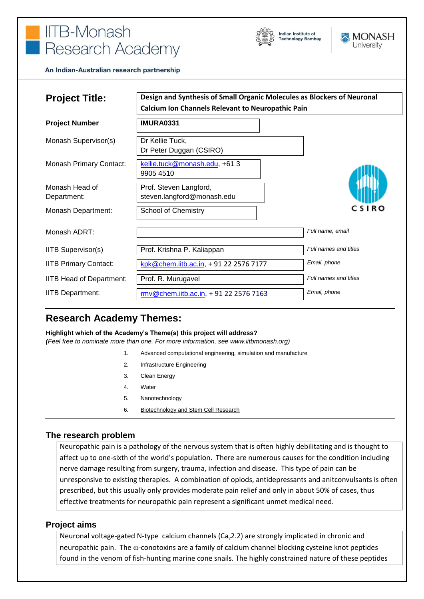# **IITB-Monash** Research Academy





An Indian-Australian research partnership

| <b>Project Title:</b>           | Design and Synthesis of Small Organic Molecules as Blockers of Neuronal<br><b>Calcium Ion Channels Relevant to Neuropathic Pain</b> |                       |
|---------------------------------|-------------------------------------------------------------------------------------------------------------------------------------|-----------------------|
| <b>Project Number</b>           | <b>IMURA0331</b>                                                                                                                    |                       |
| Monash Supervisor(s)            | Dr Kellie Tuck,<br>Dr Peter Duggan (CSIRO)                                                                                          |                       |
| Monash Primary Contact:         | kellie.tuck@monash.edu, +61 3<br>9905 4510                                                                                          |                       |
| Monash Head of<br>Department:   | Prof. Steven Langford,<br>steven.langford@monash.edu                                                                                |                       |
| Monash Department:              | <b>School of Chemistry</b>                                                                                                          | C S I R O             |
| Monash ADRT:                    |                                                                                                                                     | Full name, email      |
| <b>IITB Supervisor(s)</b>       | Prof. Krishna P. Kaliappan                                                                                                          | Full names and titles |
| <b>IITB Primary Contact:</b>    | kpk@chem.iitb.ac.in, +91 22 2576 7177                                                                                               | Email, phone          |
| <b>IITB Head of Department:</b> | Prof. R. Murugavel                                                                                                                  | Full names and titles |
| <b>IITB Department:</b>         | rmv@chem.iitb.ac.in, +91 22 2576 7163                                                                                               | Email, phone          |

# **Research Academy Themes:**

**Highlight which of the Academy's Theme(s) this project will address?**

*(Feel free to nominate more than one. For more information, see www.iitbmonash.org)*

- 1. Advanced computational engineering, simulation and manufacture
- 2. Infrastructure Engineering
- 3. Clean Energy
- 4. Water
- 5. Nanotechnology
- 6. Biotechnology and Stem Cell Research

# **The research problem**

Neuropathic pain is a pathology of the nervous system that is often highly debilitating and is thought to affect up to one-sixth of the world's population. There are numerous causes for the condition including nerve damage resulting from surgery, trauma, infection and disease. This type of pain can be unresponsive to existing therapies. A combination of opiods, antidepressants and anitconvulsants is often prescribed, but this usually only provides moderate pain relief and only in about 50% of cases, thus effective treatments for neuropathic pain represent a significant unmet medical need.

#### **Project aims**

Neuronal voltage-gated N-type calcium channels ( $Ca<sub>v</sub>2.2$ ) are strongly implicated in chronic and neuropathic pain. The  $\omega$ -conotoxins are a family of calcium channel blocking cysteine knot peptides found in the venom of fish-hunting marine cone snails. The highly constrained nature of these peptides